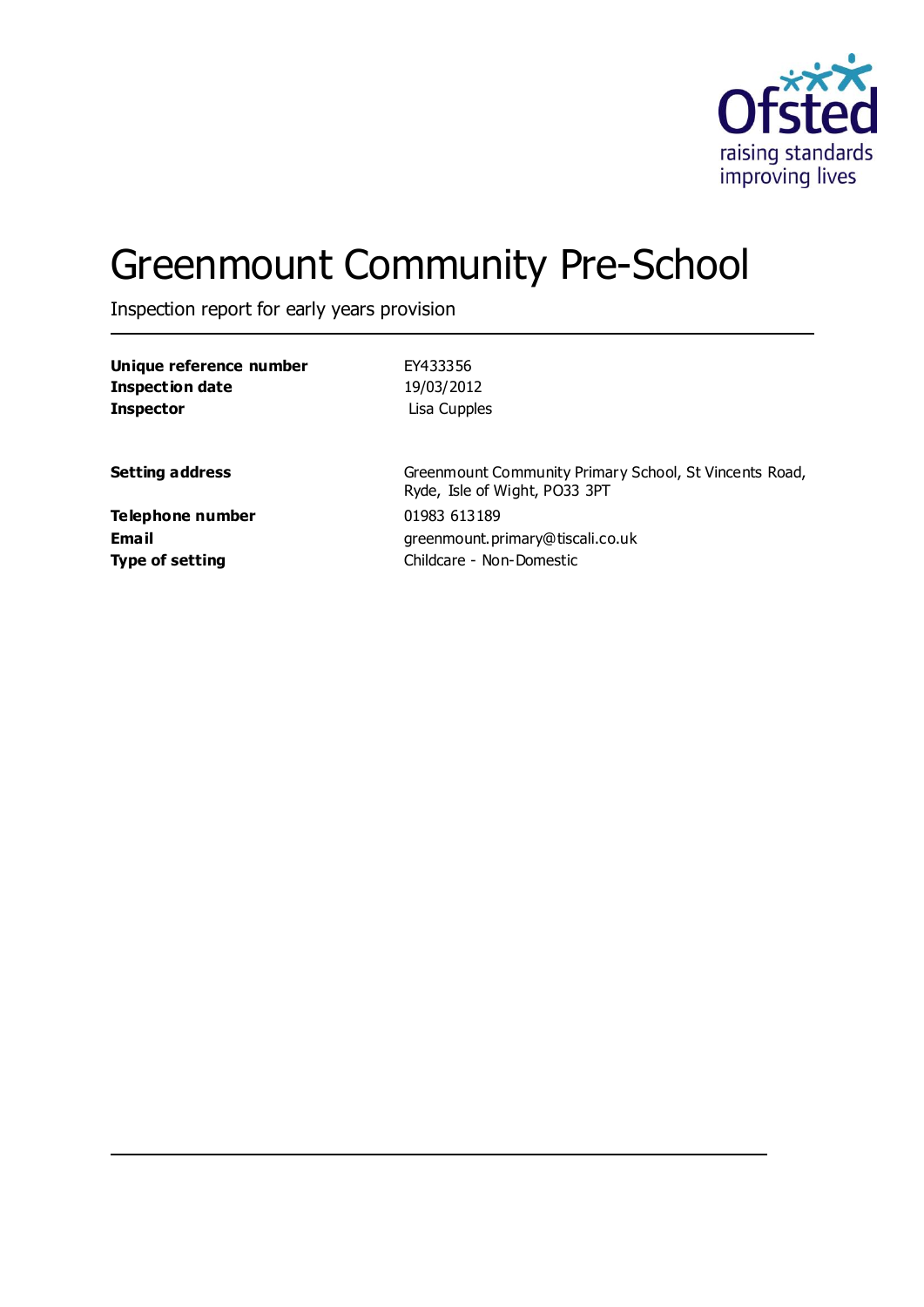

# Greenmount Community Pre-School

Inspection report for early years provision

| Unique reference number | EY433356                                                                                |
|-------------------------|-----------------------------------------------------------------------------------------|
| <b>Inspection date</b>  | 19/03/2012                                                                              |
| <b>Inspector</b>        | Lisa Cupples                                                                            |
| <b>Setting address</b>  | Greenmount Community Primary School, St Vincents Road,<br>Ryde, Isle of Wight, PO33 3PT |
| Telephone number        | 01983 613189                                                                            |
| <b>Email</b>            | greenmount.primary@tiscali.co.uk                                                        |
| <b>Type of setting</b>  | Childcare - Non-Domestic                                                                |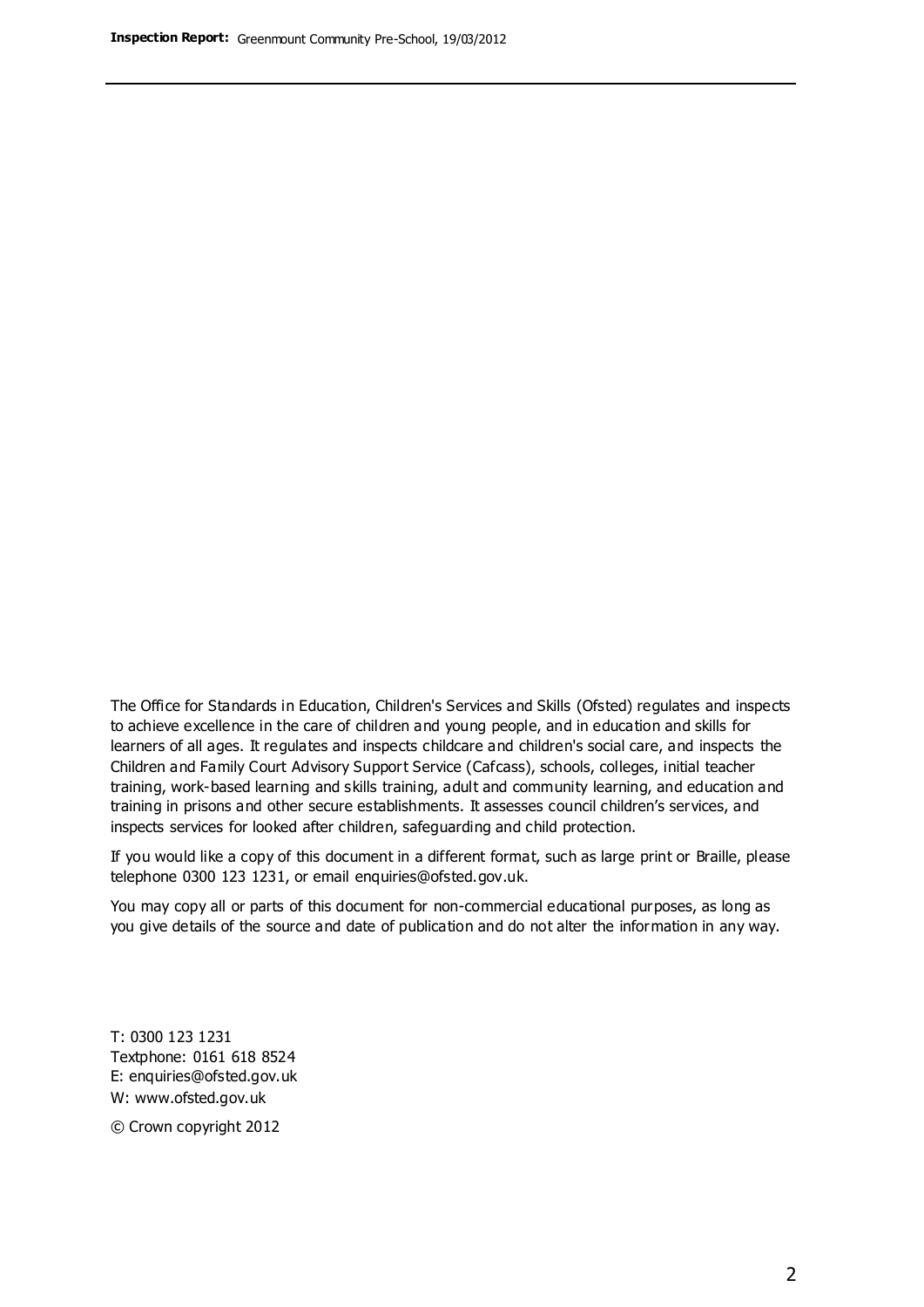The Office for Standards in Education, Children's Services and Skills (Ofsted) regulates and inspects to achieve excellence in the care of children and young people, and in education and skills for learners of all ages. It regulates and inspects childcare and children's social care, and inspects the Children and Family Court Advisory Support Service (Cafcass), schools, colleges, initial teacher training, work-based learning and skills training, adult and community learning, and education and training in prisons and other secure establishments. It assesses council children's services, and inspects services for looked after children, safeguarding and child protection.

If you would like a copy of this document in a different format, such as large print or Braille, please telephone 0300 123 1231, or email enquiries@ofsted.gov.uk.

You may copy all or parts of this document for non-commercial educational purposes, as long as you give details of the source and date of publication and do not alter the information in any way.

T: 0300 123 1231 Textphone: 0161 618 8524 E: enquiries@ofsted.gov.uk W: [www.ofsted.gov.uk](http://www.ofsted.gov.uk/)

© Crown copyright 2012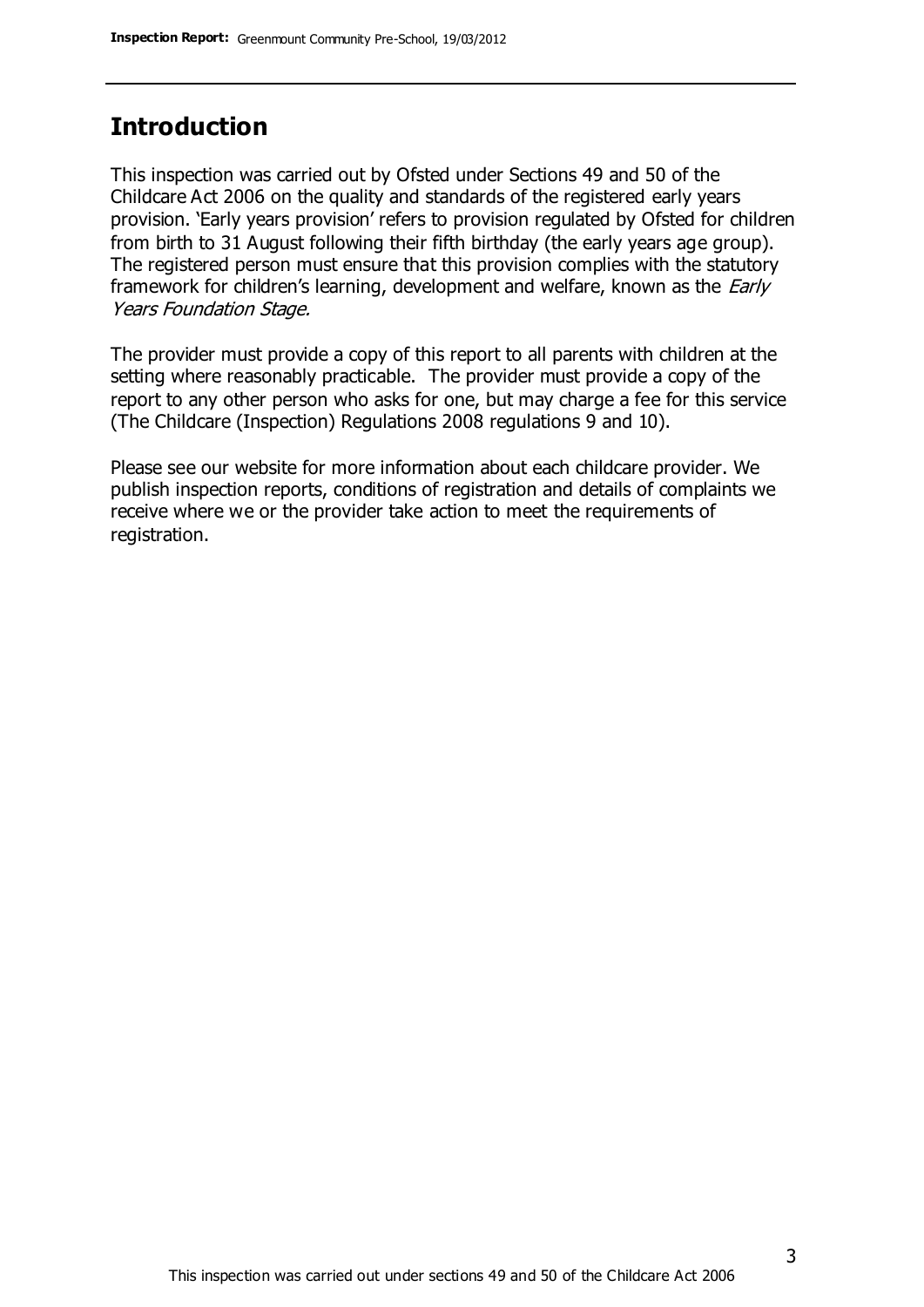# **Introduction**

This inspection was carried out by Ofsted under Sections 49 and 50 of the Childcare Act 2006 on the quality and standards of the registered early years provision. 'Early years provision' refers to provision regulated by Ofsted for children from birth to 31 August following their fifth birthday (the early years age group). The registered person must ensure that this provision complies with the statutory framework for children's learning, development and welfare, known as the *Early* Years Foundation Stage.

The provider must provide a copy of this report to all parents with children at the setting where reasonably practicable. The provider must provide a copy of the report to any other person who asks for one, but may charge a fee for this service (The Childcare (Inspection) Regulations 2008 regulations 9 and 10).

Please see our website for more information about each childcare provider. We publish inspection reports, conditions of registration and details of complaints we receive where we or the provider take action to meet the requirements of registration.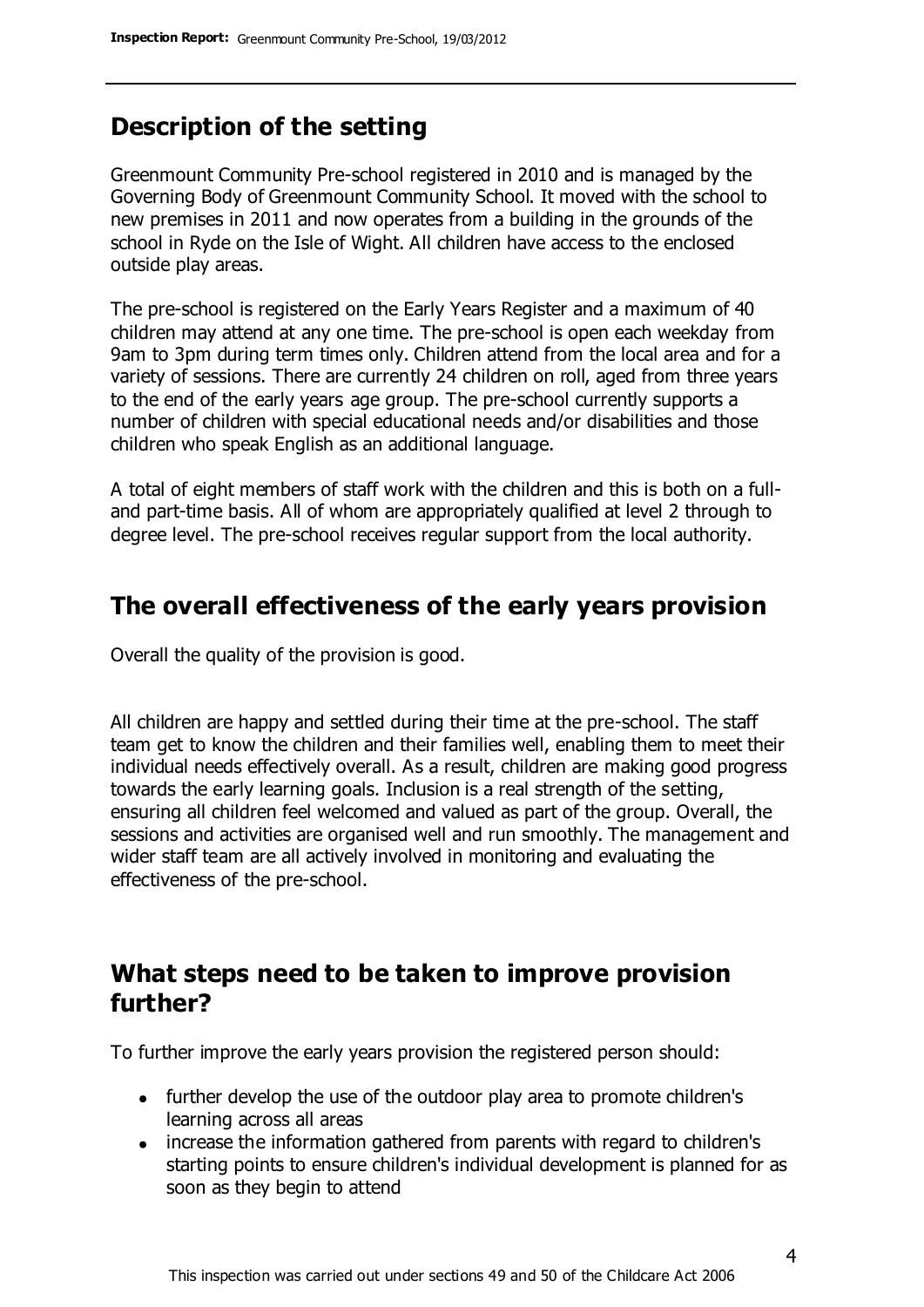# **Description of the setting**

Greenmount Community Pre-school registered in 2010 and is managed by the Governing Body of Greenmount Community School. It moved with the school to new premises in 2011 and now operates from a building in the grounds of the school in Ryde on the Isle of Wight. All children have access to the enclosed outside play areas.

The pre-school is registered on the Early Years Register and a maximum of 40 children may attend at any one time. The pre-school is open each weekday from 9am to 3pm during term times only. Children attend from the local area and for a variety of sessions. There are currently 24 children on roll, aged from three years to the end of the early years age group. The pre-school currently supports a number of children with special educational needs and/or disabilities and those children who speak English as an additional language.

A total of eight members of staff work with the children and this is both on a fulland part-time basis. All of whom are appropriately qualified at level 2 through to degree level. The pre-school receives regular support from the local authority.

### **The overall effectiveness of the early years provision**

Overall the quality of the provision is good.

All children are happy and settled during their time at the pre-school. The staff team get to know the children and their families well, enabling them to meet their individual needs effectively overall. As a result, children are making good progress towards the early learning goals. Inclusion is a real strength of the setting, ensuring all children feel welcomed and valued as part of the group. Overall, the sessions and activities are organised well and run smoothly. The management and wider staff team are all actively involved in monitoring and evaluating the effectiveness of the pre-school.

## **What steps need to be taken to improve provision further?**

To further improve the early years provision the registered person should:

- further develop the use of the outdoor play area to promote children's learning across all areas
- increase the information gathered from parents with regard to children's starting points to ensure children's individual development is planned for as soon as they begin to attend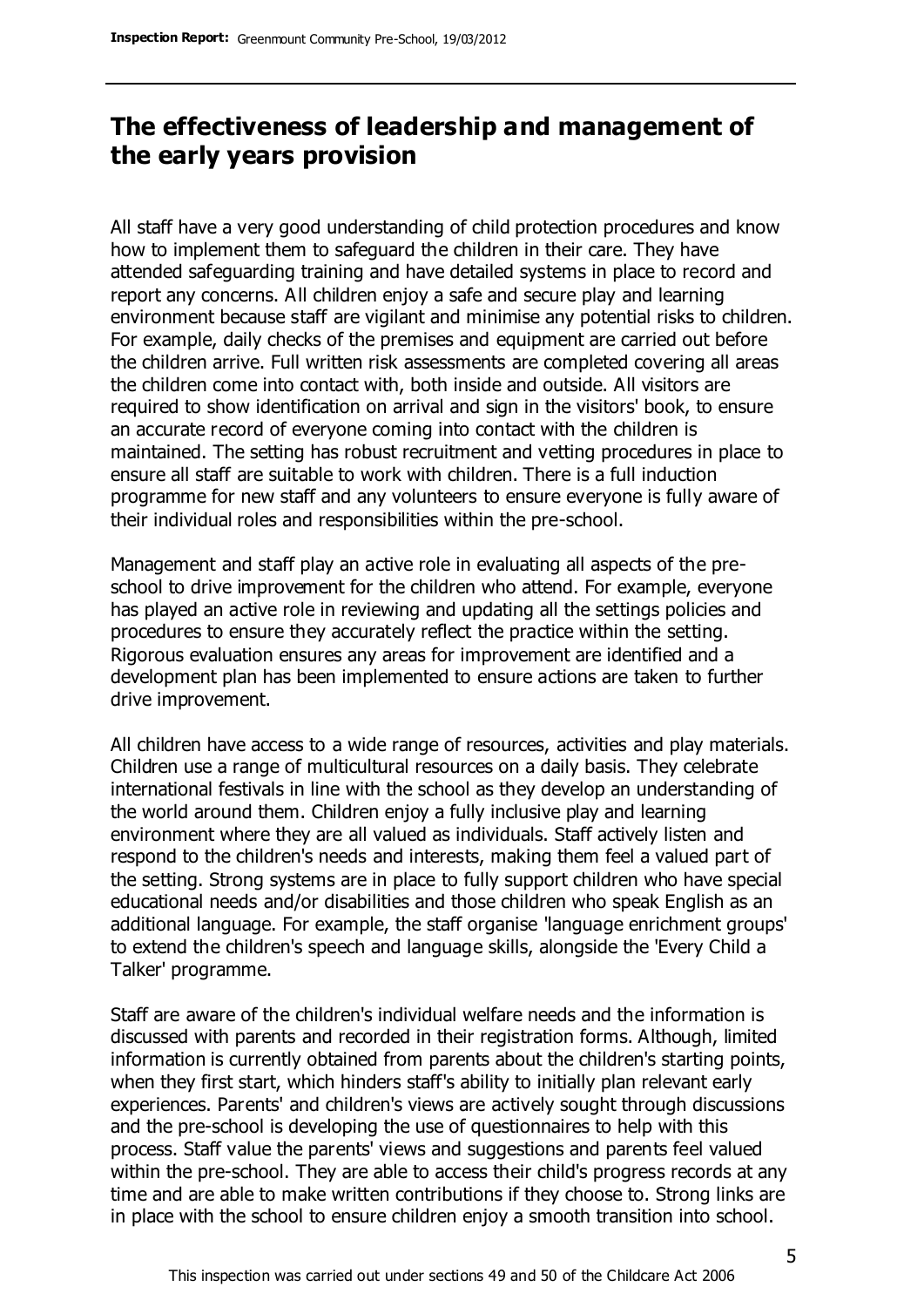# **The effectiveness of leadership and management of the early years provision**

All staff have a very good understanding of child protection procedures and know how to implement them to safeguard the children in their care. They have attended safeguarding training and have detailed systems in place to record and report any concerns. All children enjoy a safe and secure play and learning environment because staff are vigilant and minimise any potential risks to children. For example, daily checks of the premises and equipment are carried out before the children arrive. Full written risk assessments are completed covering all areas the children come into contact with, both inside and outside. All visitors are required to show identification on arrival and sign in the visitors' book, to ensure an accurate record of everyone coming into contact with the children is maintained. The setting has robust recruitment and vetting procedures in place to ensure all staff are suitable to work with children. There is a full induction programme for new staff and any volunteers to ensure everyone is fully aware of their individual roles and responsibilities within the pre-school.

Management and staff play an active role in evaluating all aspects of the preschool to drive improvement for the children who attend. For example, everyone has played an active role in reviewing and updating all the settings policies and procedures to ensure they accurately reflect the practice within the setting. Rigorous evaluation ensures any areas for improvement are identified and a development plan has been implemented to ensure actions are taken to further drive improvement.

All children have access to a wide range of resources, activities and play materials. Children use a range of multicultural resources on a daily basis. They celebrate international festivals in line with the school as they develop an understanding of the world around them. Children enjoy a fully inclusive play and learning environment where they are all valued as individuals. Staff actively listen and respond to the children's needs and interests, making them feel a valued part of the setting. Strong systems are in place to fully support children who have special educational needs and/or disabilities and those children who speak English as an additional language. For example, the staff organise 'language enrichment groups' to extend the children's speech and language skills, alongside the 'Every Child a Talker' programme.

Staff are aware of the children's individual welfare needs and the information is discussed with parents and recorded in their registration forms. Although, limited information is currently obtained from parents about the children's starting points, when they first start, which hinders staff's ability to initially plan relevant early experiences. Parents' and children's views are actively sought through discussions and the pre-school is developing the use of questionnaires to help with this process. Staff value the parents' views and suggestions and parents feel valued within the pre-school. They are able to access their child's progress records at any time and are able to make written contributions if they choose to. Strong links are in place with the school to ensure children enjoy a smooth transition into school.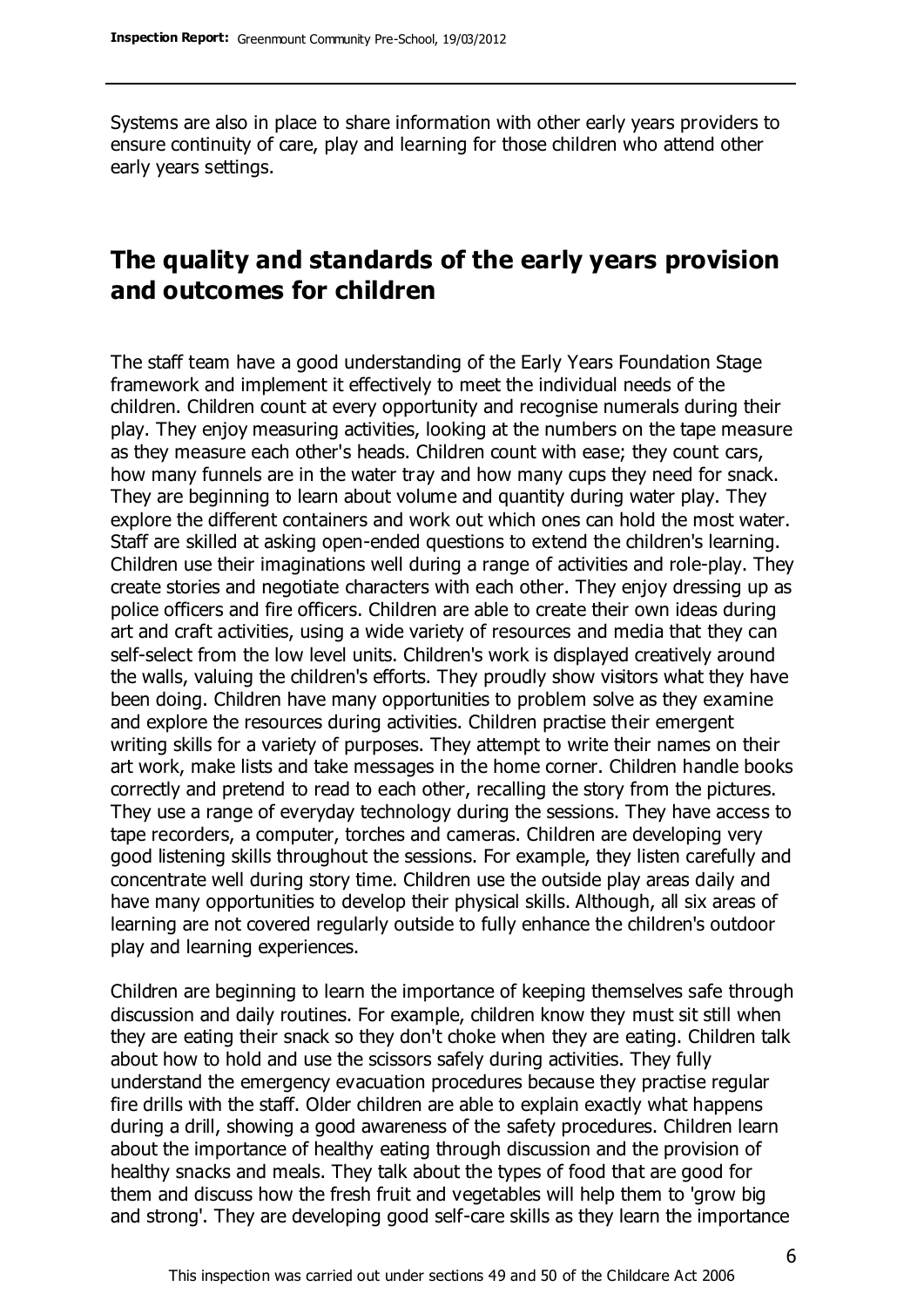Systems are also in place to share information with other early years providers to ensure continuity of care, play and learning for those children who attend other early years settings.

# **The quality and standards of the early years provision and outcomes for children**

The staff team have a good understanding of the Early Years Foundation Stage framework and implement it effectively to meet the individual needs of the children. Children count at every opportunity and recognise numerals during their play. They enjoy measuring activities, looking at the numbers on the tape measure as they measure each other's heads. Children count with ease; they count cars, how many funnels are in the water tray and how many cups they need for snack. They are beginning to learn about volume and quantity during water play. They explore the different containers and work out which ones can hold the most water. Staff are skilled at asking open-ended questions to extend the children's learning. Children use their imaginations well during a range of activities and role-play. They create stories and negotiate characters with each other. They enjoy dressing up as police officers and fire officers. Children are able to create their own ideas during art and craft activities, using a wide variety of resources and media that they can self-select from the low level units. Children's work is displayed creatively around the walls, valuing the children's efforts. They proudly show visitors what they have been doing. Children have many opportunities to problem solve as they examine and explore the resources during activities. Children practise their emergent writing skills for a variety of purposes. They attempt to write their names on their art work, make lists and take messages in the home corner. Children handle books correctly and pretend to read to each other, recalling the story from the pictures. They use a range of everyday technology during the sessions. They have access to tape recorders, a computer, torches and cameras. Children are developing very good listening skills throughout the sessions. For example, they listen carefully and concentrate well during story time. Children use the outside play areas daily and have many opportunities to develop their physical skills. Although, all six areas of learning are not covered regularly outside to fully enhance the children's outdoor play and learning experiences.

Children are beginning to learn the importance of keeping themselves safe through discussion and daily routines. For example, children know they must sit still when they are eating their snack so they don't choke when they are eating. Children talk about how to hold and use the scissors safely during activities. They fully understand the emergency evacuation procedures because they practise regular fire drills with the staff. Older children are able to explain exactly what happens during a drill, showing a good awareness of the safety procedures. Children learn about the importance of healthy eating through discussion and the provision of healthy snacks and meals. They talk about the types of food that are good for them and discuss how the fresh fruit and vegetables will help them to 'grow big and strong'. They are developing good self-care skills as they learn the importance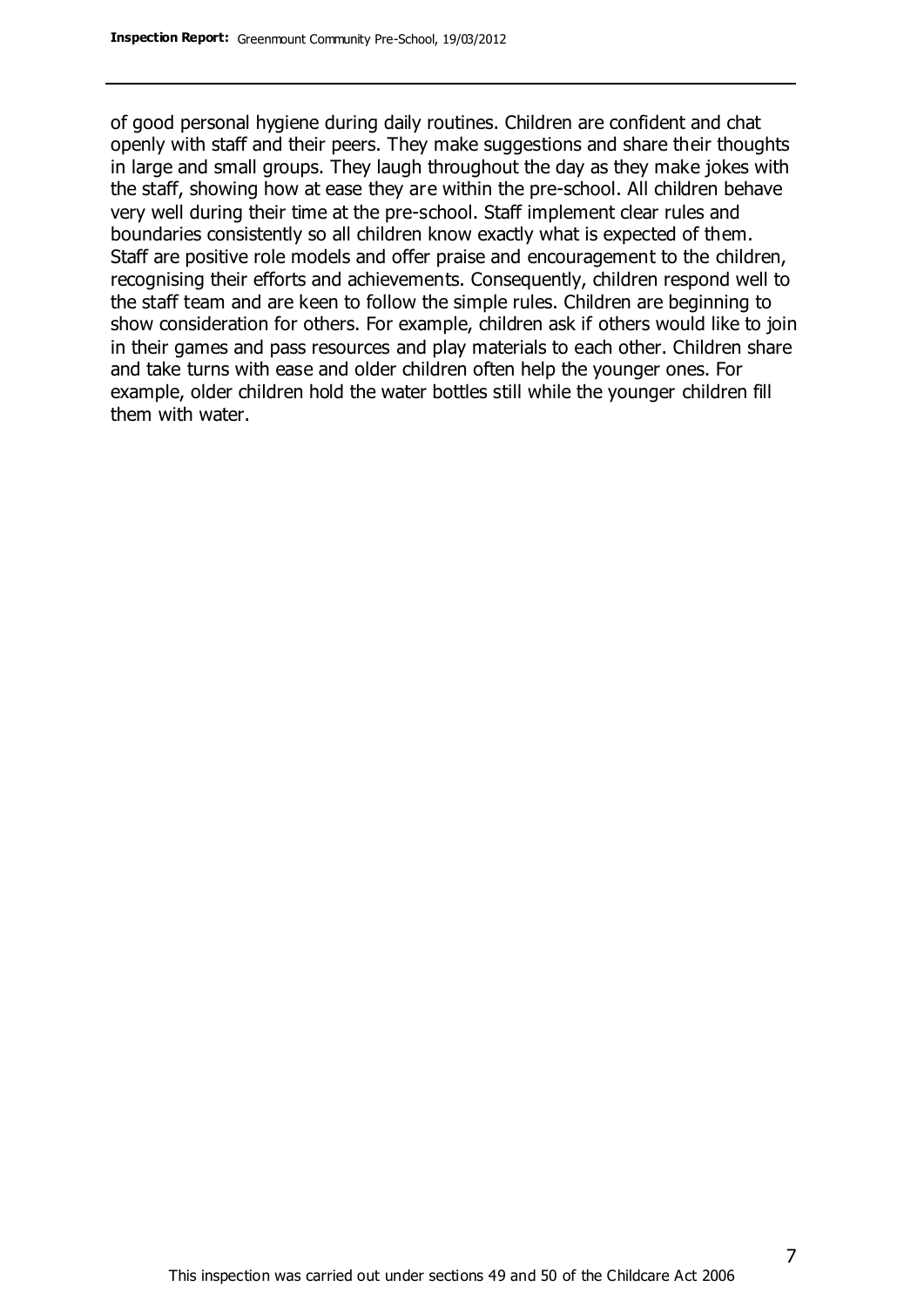of good personal hygiene during daily routines. Children are confident and chat openly with staff and their peers. They make suggestions and share their thoughts in large and small groups. They laugh throughout the day as they make jokes with the staff, showing how at ease they are within the pre-school. All children behave very well during their time at the pre-school. Staff implement clear rules and boundaries consistently so all children know exactly what is expected of them. Staff are positive role models and offer praise and encouragement to the children, recognising their efforts and achievements. Consequently, children respond well to the staff team and are keen to follow the simple rules. Children are beginning to show consideration for others. For example, children ask if others would like to join in their games and pass resources and play materials to each other. Children share and take turns with ease and older children often help the younger ones. For example, older children hold the water bottles still while the younger children fill them with water.